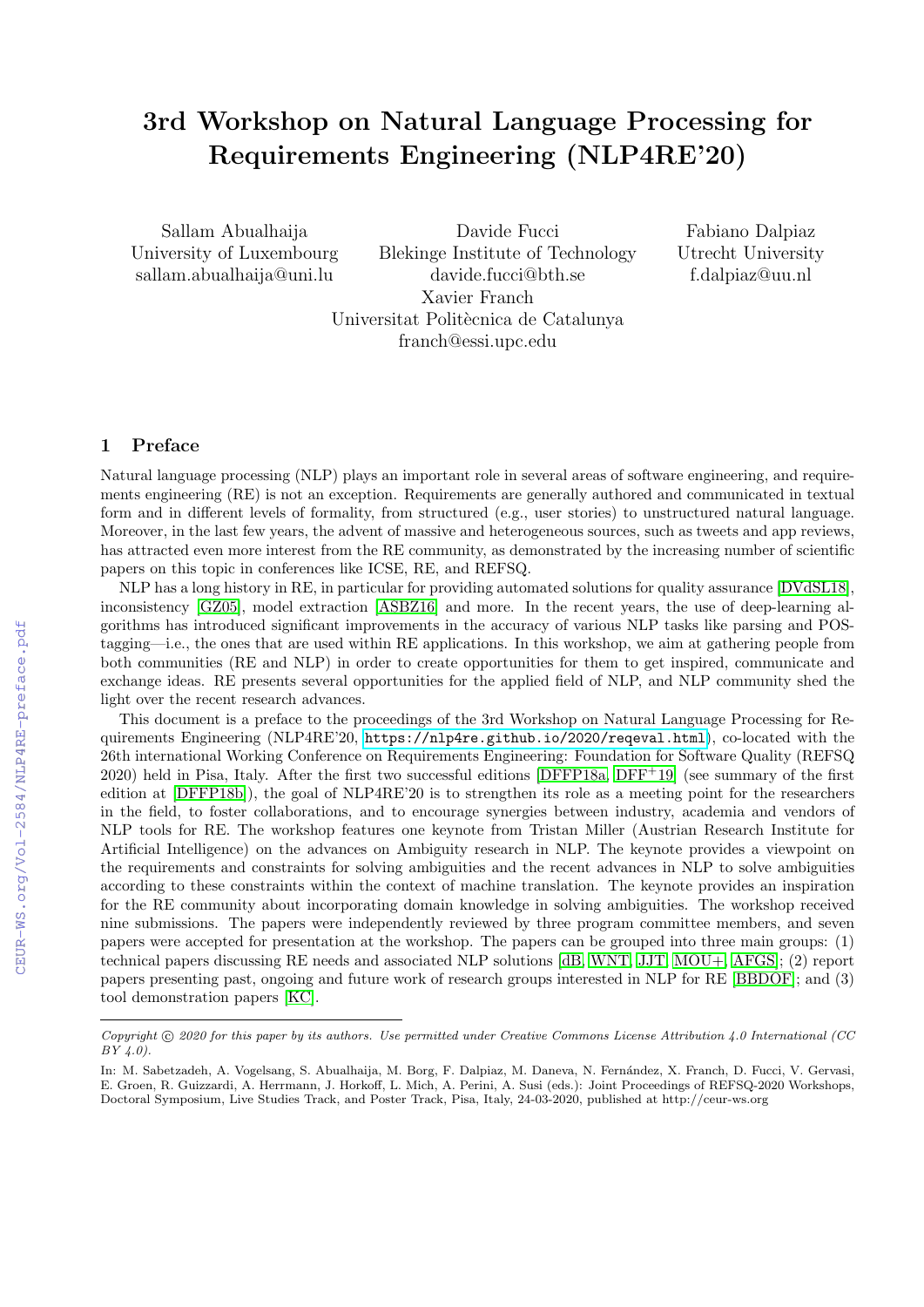# 3rd Workshop on Natural Language Processing for Requirements Engineering (NLP4RE'20)

Sallam Abualhaija University of Luxembourg sallam.abualhaija@uni.lu

Davide Fucci Blekinge Institute of Technology davide.fucci@bth.se Xavier Franch Universitat Politècnica de Catalunya franch@essi.upc.edu

Fabiano Dalpiaz Utrecht University f.dalpiaz@uu.nl

### 1 Preface

Natural language processing (NLP) plays an important role in several areas of software engineering, and requirements engineering (RE) is not an exception. Requirements are generally authored and communicated in textual form and in different levels of formality, from structured (e.g., user stories) to unstructured natural language. Moreover, in the last few years, the advent of massive and heterogeneous sources, such as tweets and app reviews, has attracted even more interest from the RE community, as demonstrated by the increasing number of scientific papers on this topic in conferences like ICSE, RE, and REFSQ.

NLP has a long history in RE, in particular for providing automated solutions for quality assurance [\[DVdSL18\]](#page--1-0), inconsistency [\[GZ05\]](#page--1-1), model extraction [\[ASBZ16\]](#page--1-2) and more. In the recent years, the use of deep-learning algorithms has introduced significant improvements in the accuracy of various NLP tasks like parsing and POStagging—i.e., the ones that are used within RE applications. In this workshop, we aim at gathering people from both communities (RE and NLP) in order to create opportunities for them to get inspired, communicate and exchange ideas. RE presents several opportunities for the applied field of NLP, and NLP community shed the light over the recent research advances.

This document is a preface to the proceedings of the 3rd Workshop on Natural Language Processing for Requirements Engineering (NLP4RE'20, <https://nlp4re.github.io/2020/reqeval.html>), co-located with the 26th international Working Conference on Requirements Engineering: Foundation for Software Quality (REFSQ  $2020$ ) held in Pisa, Italy. After the first two successful editions [\[DFFP18a,](#page--1-3) [DFF](#page--1-4)<sup>+19]</sup> (see summary of the first edition at [\[DFFP18b\]](#page--1-5)), the goal of NLP4RE'20 is to strengthen its role as a meeting point for the researchers in the field, to foster collaborations, and to encourage synergies between industry, academia and vendors of NLP tools for RE. The workshop features one keynote from Tristan Miller (Austrian Research Institute for Artificial Intelligence) on the advances on Ambiguity research in NLP. The keynote provides a viewpoint on the requirements and constraints for solving ambiguities and the recent advances in NLP to solve ambiguities according to these constraints within the context of machine translation. The keynote provides an inspiration for the RE community about incorporating domain knowledge in solving ambiguities. The workshop received nine submissions. The papers were independently reviewed by three program committee members, and seven papers were accepted for presentation at the workshop. The papers can be grouped into three main groups: (1) technical papers discussing RE needs and associated NLP solutions [\[dB,](#page--1-6) [WNT,](#page--1-7) [JJT,](#page--1-8) [MOU+,](#page--1-9) [AFGS\]](#page--1-10); (2) report papers presenting past, ongoing and future work of research groups interested in NLP for RE [\[BBDOF\]](#page--1-11); and (3) tool demonstration papers [\[KC\]](#page--1-12).

Copyright © 2020 for this paper by its authors. Use permitted under Creative Commons License Attribution 4.0 International (CC  $BY(4.0).$ 

In: M. Sabetzadeh, A. Vogelsang, S. Abualhaija, M. Borg, F. Dalpiaz, M. Daneva, N. Fernández, X. Franch, D. Fucci, V. Gervasi, E. Groen, R. Guizzardi, A. Herrmann, J. Horkoff, L. Mich, A. Perini, A. Susi (eds.): Joint Proceedings of REFSQ-2020 Workshops, Doctoral Symposium, Live Studies Track, and Poster Track, Pisa, Italy, 24-03-2020, published at http://ceur-ws.org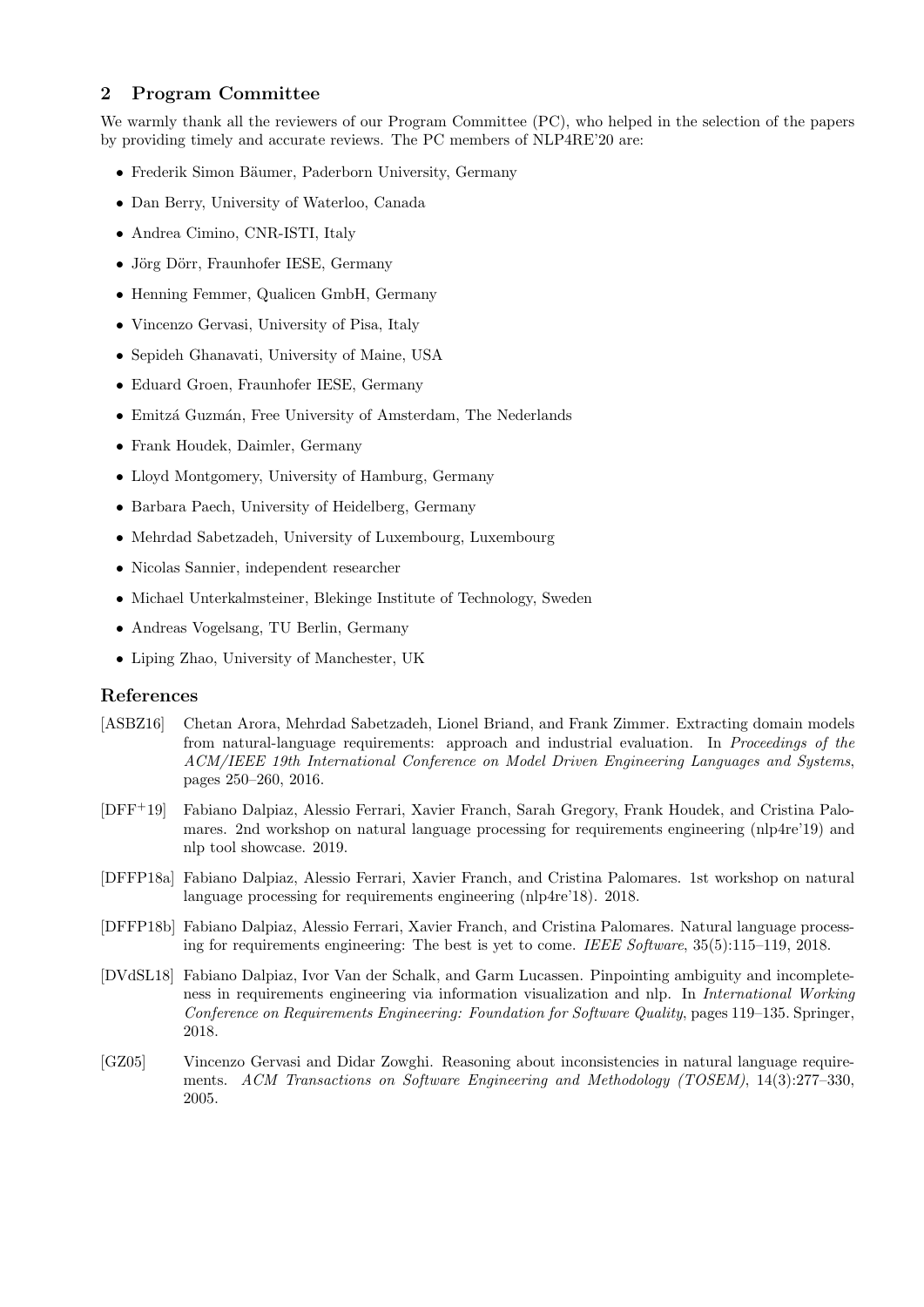## 2 Program Committee

We warmly thank all the reviewers of our Program Committee (PC), who helped in the selection of the papers by providing timely and accurate reviews. The PC members of NLP4RE'20 are:

- Frederik Simon Bäumer, Paderborn University, Germany
- Dan Berry, University of Waterloo, Canada
- Andrea Cimino, CNR-ISTI, Italy
- Jörg Dörr, Fraunhofer IESE, Germany
- Henning Femmer, Qualicen GmbH, Germany
- Vincenzo Gervasi, University of Pisa, Italy
- Sepideh Ghanavati, University of Maine, USA
- Eduard Groen, Fraunhofer IESE, Germany
- Emitzá Guzmán, Free University of Amsterdam, The Nederlands
- Frank Houdek, Daimler, Germany
- Lloyd Montgomery, University of Hamburg, Germany
- Barbara Paech, University of Heidelberg, Germany
- Mehrdad Sabetzadeh, University of Luxembourg, Luxembourg
- Nicolas Sannier, independent researcher
- Michael Unterkalmsteiner, Blekinge Institute of Technology, Sweden
- Andreas Vogelsang, TU Berlin, Germany
- Liping Zhao, University of Manchester, UK

## References

- [ASBZ16] Chetan Arora, Mehrdad Sabetzadeh, Lionel Briand, and Frank Zimmer. Extracting domain models from natural-language requirements: approach and industrial evaluation. In Proceedings of the ACM/IEEE 19th International Conference on Model Driven Engineering Languages and Systems, pages 250–260, 2016.
- [DFF+19] Fabiano Dalpiaz, Alessio Ferrari, Xavier Franch, Sarah Gregory, Frank Houdek, and Cristina Palomares. 2nd workshop on natural language processing for requirements engineering (nlp4re'19) and nlp tool showcase. 2019.
- [DFFP18a] Fabiano Dalpiaz, Alessio Ferrari, Xavier Franch, and Cristina Palomares. 1st workshop on natural language processing for requirements engineering (nlp4re'18). 2018.
- [DFFP18b] Fabiano Dalpiaz, Alessio Ferrari, Xavier Franch, and Cristina Palomares. Natural language processing for requirements engineering: The best is yet to come. IEEE Software, 35(5):115–119, 2018.
- [DVdSL18] Fabiano Dalpiaz, Ivor Van der Schalk, and Garm Lucassen. Pinpointing ambiguity and incompleteness in requirements engineering via information visualization and nlp. In International Working Conference on Requirements Engineering: Foundation for Software Quality, pages 119–135. Springer, 2018.
- [GZ05] Vincenzo Gervasi and Didar Zowghi. Reasoning about inconsistencies in natural language requirements. ACM Transactions on Software Engineering and Methodology (TOSEM), 14(3):277–330, 2005.